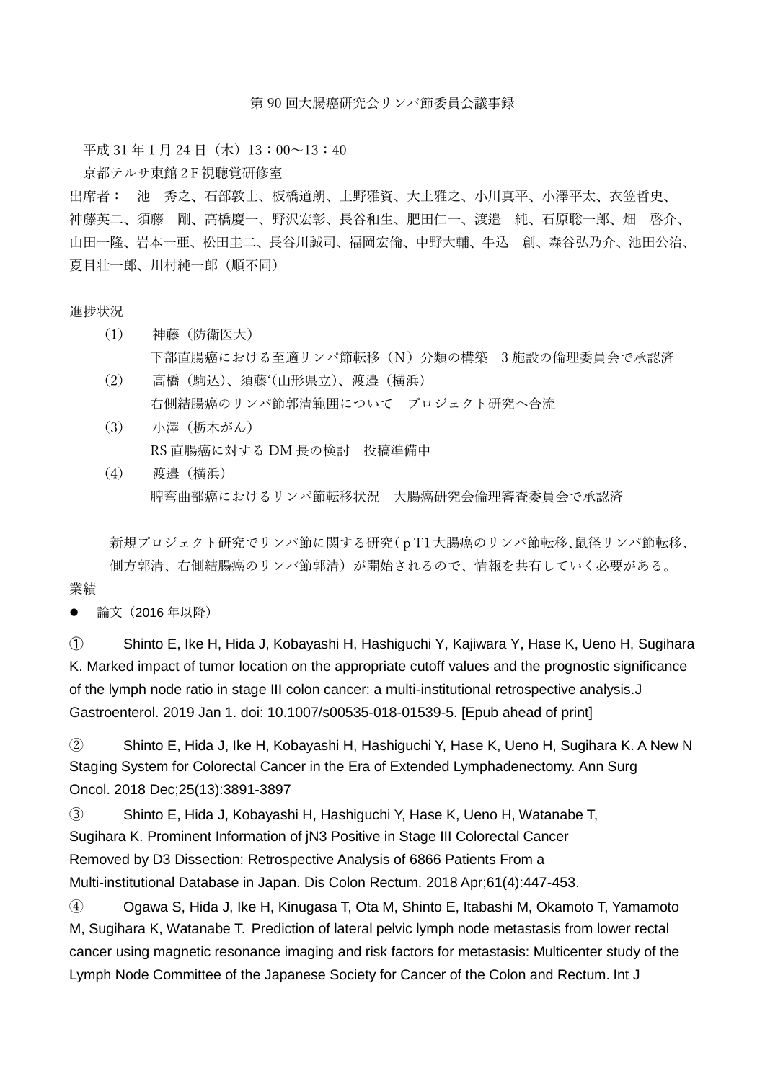第 90 回大腸癌研究会リンパ節委員会議事録

平成 31 年 1 月 24 日(木) 13:00~13:40

京都テルサ東館 2F視聴覚研修室

出席者: 池 秀之、石部敦士、板橋道朗、上野雅資、大上雅之、小川真平、小澤平太、衣笠哲史、 神藤英二、須藤 剛、高橋慶一、野沢宏彰、長谷和生、肥田仁一、渡邉 純、石原聡一郎、畑 啓介、 山田一隆、岩本一亜、松田圭二、長谷川誠司、福岡宏倫、中野大輔、牛込 創、森谷弘乃介、池田公治、 夏目壮一郎、川村純一郎(順不同)

## 進捗状況

- (1) 神藤(防衛医大) 下部直腸癌における至適リンパ節転移(N)分類の構築 3 施設の倫理委員会で承認済
- (2) 高橋(駒込)、須藤'(山形県立)、渡邉(横浜) 右側結腸癌のリンパ節郭清範囲について プロジェクト研究へ合流
- (3) 小澤(栃木がん) RS 直腸癌に対する DM 長の検討 投稿準備中
- (4) 渡邉(横浜) 脾弯曲部癌におけるリンパ節転移状況 大腸癌研究会倫理審査委員会で承認済

 新規プロジェクト研究でリンパ節に関する研究(pT1大腸癌のリンパ節転移、鼠径リンパ節転移、 側方郭清、右側結腸癌のリンパ節郭清)が開始されるので、情報を共有していく必要がある。

業績

論文(2016 年以降)

① [Shinto E,](https://www.ncbi.nlm.nih.gov/pubmed/?term=Shinto%20E%5BAuthor%5D&cauthor=true&cauthor_uid=30607613) [Ike H,](https://www.ncbi.nlm.nih.gov/pubmed/?term=Ike%20H%5BAuthor%5D&cauthor=true&cauthor_uid=30607613) [Hida J,](https://www.ncbi.nlm.nih.gov/pubmed/?term=Hida%20JI%5BAuthor%5D&cauthor=true&cauthor_uid=30607613) [Kobayashi H,](https://www.ncbi.nlm.nih.gov/pubmed/?term=Kobayashi%20H%5BAuthor%5D&cauthor=true&cauthor_uid=30607613) [Hashiguchi Y,](https://www.ncbi.nlm.nih.gov/pubmed/?term=Hashiguchi%20Y%5BAuthor%5D&cauthor=true&cauthor_uid=30607613) [Kajiwara Y,](https://www.ncbi.nlm.nih.gov/pubmed/?term=Kajiwara%20Y%5BAuthor%5D&cauthor=true&cauthor_uid=30607613) [Hase K,](https://www.ncbi.nlm.nih.gov/pubmed/?term=Hase%20K%5BAuthor%5D&cauthor=true&cauthor_uid=30607613) [Ueno H,](https://www.ncbi.nlm.nih.gov/pubmed/?term=Ueno%20H%5BAuthor%5D&cauthor=true&cauthor_uid=30607613) [Sugihara](https://www.ncbi.nlm.nih.gov/pubmed/?term=Sugihara%20K%5BAuthor%5D&cauthor=true&cauthor_uid=30607613)  [K.](https://www.ncbi.nlm.nih.gov/pubmed/?term=Sugihara%20K%5BAuthor%5D&cauthor=true&cauthor_uid=30607613) Marked impact of tumor location on the appropriate cutoff values and the prognostic significance of the lymph node ratio in stage III colon cancer: a multi-institutional retrospective analysis[.J](https://www.ncbi.nlm.nih.gov/pubmed/30607613)  [Gastroenterol.](https://www.ncbi.nlm.nih.gov/pubmed/30607613) 2019 Jan 1. doi: 10.1007/s00535-018-01539-5. [Epub ahead of print]

② [Shinto E,](https://www.ncbi.nlm.nih.gov/pubmed/?term=Shinto%20E%5BAuthor%5D&cauthor=true&cauthor_uid=30276642) [Hida J,](https://www.ncbi.nlm.nih.gov/pubmed/?term=Hida%20JI%5BAuthor%5D&cauthor=true&cauthor_uid=30276642) [Ike H,](https://www.ncbi.nlm.nih.gov/pubmed/?term=Ike%20H%5BAuthor%5D&cauthor=true&cauthor_uid=30276642) [Kobayashi H,](https://www.ncbi.nlm.nih.gov/pubmed/?term=Kobayashi%20H%5BAuthor%5D&cauthor=true&cauthor_uid=30276642) [Hashiguchi Y,](https://www.ncbi.nlm.nih.gov/pubmed/?term=Hashiguchi%20Y%5BAuthor%5D&cauthor=true&cauthor_uid=30276642) [Hase K,](https://www.ncbi.nlm.nih.gov/pubmed/?term=Hase%20K%5BAuthor%5D&cauthor=true&cauthor_uid=30276642) [Ueno H,](https://www.ncbi.nlm.nih.gov/pubmed/?term=Ueno%20H%5BAuthor%5D&cauthor=true&cauthor_uid=30276642) [Sugihara K.](https://www.ncbi.nlm.nih.gov/pubmed/?term=Sugihara%20K%5BAuthor%5D&cauthor=true&cauthor_uid=30276642) A New N Staging System for Colorectal Cancer in the Era of Extended Lymphadenectomy. [Ann Surg](https://www.ncbi.nlm.nih.gov/pubmed/30276642)  [Oncol.](https://www.ncbi.nlm.nih.gov/pubmed/30276642) 2018 Dec;25(13):3891-3897

③ Shinto E, Hida J, Kobayashi H, Hashiguchi Y, Hase K, Ueno H, Watanabe T, Sugihara K. Prominent Information of jN3 Positive in Stage III Colorectal Cancer Removed by D3 Dissection: Retrospective Analysis of 6866 Patients From a Multi-institutional Database in Japan. Dis Colon Rectum. 2018 Apr;61(4):447-453.

④ [Ogawa S,](https://www.ncbi.nlm.nih.gov/pubmed/?term=Ogawa%20S%5BAuthor%5D&cauthor=true&cauthor_uid=28762189) [Hida J,](https://www.ncbi.nlm.nih.gov/pubmed/?term=Hida%20JI%5BAuthor%5D&cauthor=true&cauthor_uid=28762189) [Ike H,](https://www.ncbi.nlm.nih.gov/pubmed/?term=Ike%20H%5BAuthor%5D&cauthor=true&cauthor_uid=28762189) [Kinugasa T,](https://www.ncbi.nlm.nih.gov/pubmed/?term=Kinugasa%20T%5BAuthor%5D&cauthor=true&cauthor_uid=28762189) [Ota M,](https://www.ncbi.nlm.nih.gov/pubmed/?term=Ota%20M%5BAuthor%5D&cauthor=true&cauthor_uid=28762189) [Shinto E,](https://www.ncbi.nlm.nih.gov/pubmed/?term=Shinto%20E%5BAuthor%5D&cauthor=true&cauthor_uid=28762189) [Itabashi M,](https://www.ncbi.nlm.nih.gov/pubmed/?term=Itabashi%20M%5BAuthor%5D&cauthor=true&cauthor_uid=28762189) [Okamoto T,](https://www.ncbi.nlm.nih.gov/pubmed/?term=Okamoto%20T%5BAuthor%5D&cauthor=true&cauthor_uid=28762189) [Yamamoto](https://www.ncbi.nlm.nih.gov/pubmed/?term=Yamamoto%20M%5BAuthor%5D&cauthor=true&cauthor_uid=28762189)  [M,](https://www.ncbi.nlm.nih.gov/pubmed/?term=Yamamoto%20M%5BAuthor%5D&cauthor=true&cauthor_uid=28762189) [Sugihara K,](https://www.ncbi.nlm.nih.gov/pubmed/?term=Sugihara%20K%5BAuthor%5D&cauthor=true&cauthor_uid=28762189) [Watanabe T.](https://www.ncbi.nlm.nih.gov/pubmed/?term=Watanabe%20T%5BAuthor%5D&cauthor=true&cauthor_uid=28762189) Prediction of lateral pelvic lymph node metastasis from lower rectal cancer using magnetic resonance imaging and risk factors for metastasis: Multicenter study of the Lymph Node Committee of the Japanese Society for Cancer of the Colon and Rectum. [Int J](https://www.ncbi.nlm.nih.gov/pubmed/28762189)